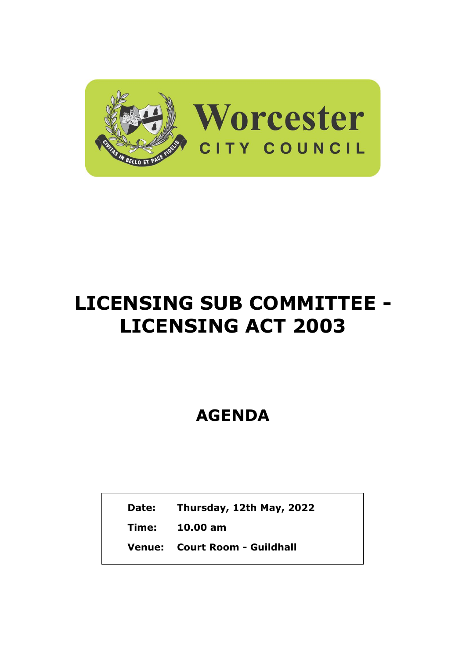

## **LICENSING SUB COMMITTEE - LICENSING ACT 2003**

**AGENDA**

**Date: Thursday, 12th May, 2022**

**Time: 10.00 am**

**Venue: Court Room - Guildhall**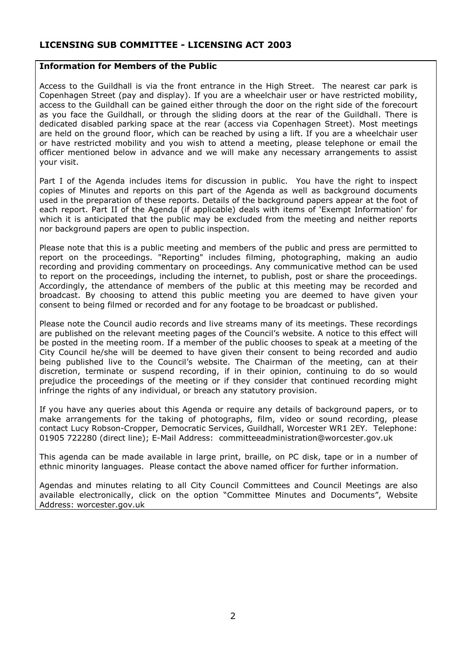## **LICENSING SUB COMMITTEE - LICENSING ACT 2003**

## **Information for Members of the Public**

Access to the Guildhall is via the front entrance in the High Street. The nearest car park is Copenhagen Street (pay and display). If you are a wheelchair user or have restricted mobility, access to the Guildhall can be gained either through the door on the right side of the forecourt as you face the Guildhall, or through the sliding doors at the rear of the Guildhall. There is dedicated disabled parking space at the rear (access via Copenhagen Street). Most meetings are held on the ground floor, which can be reached by using a lift. If you are a wheelchair user or have restricted mobility and you wish to attend a meeting, please telephone or email the officer mentioned below in advance and we will make any necessary arrangements to assist your visit.

Part I of the Agenda includes items for discussion in public. You have the right to inspect copies of Minutes and reports on this part of the Agenda as well as background documents used in the preparation of these reports. Details of the background papers appear at the foot of each report. Part II of the Agenda (if applicable) deals with items of 'Exempt Information' for which it is anticipated that the public may be excluded from the meeting and neither reports nor background papers are open to public inspection.

Please note that this is a public meeting and members of the public and press are permitted to report on the proceedings. "Reporting" includes filming, photographing, making an audio recording and providing commentary on proceedings. Any communicative method can be used to report on the proceedings, including the internet, to publish, post or share the proceedings. Accordingly, the attendance of members of the public at this meeting may be recorded and broadcast. By choosing to attend this public meeting you are deemed to have given your consent to being filmed or recorded and for any footage to be broadcast or published.

Please note the Council audio records and live streams many of its meetings. These recordings are published on the relevant meeting pages of the Council's website. A notice to this effect will be posted in the meeting room. If a member of the public chooses to speak at a meeting of the City Council he/she will be deemed to have given their consent to being recorded and audio being published live to the Council's website. The Chairman of the meeting, can at their discretion, terminate or suspend recording, if in their opinion, continuing to do so would prejudice the proceedings of the meeting or if they consider that continued recording might infringe the rights of any individual, or breach any statutory provision.

If you have any queries about this Agenda or require any details of background papers, or to make arrangements for the taking of photographs, film, video or sound recording, please contact Lucy Robson-Cropper, Democratic Services, Guildhall, Worcester WR1 2EY. Telephone: 01905 722280 (direct line); E-Mail Address: committeeadministration@worcester.gov.uk

This agenda can be made available in large print, braille, on PC disk, tape or in a number of ethnic minority languages. Please contact the above named officer for further information.

Agendas and minutes relating to all City Council Committees and Council Meetings are also available electronically, click on the option "Committee Minutes and Documents", Website Address: worcester.gov.uk